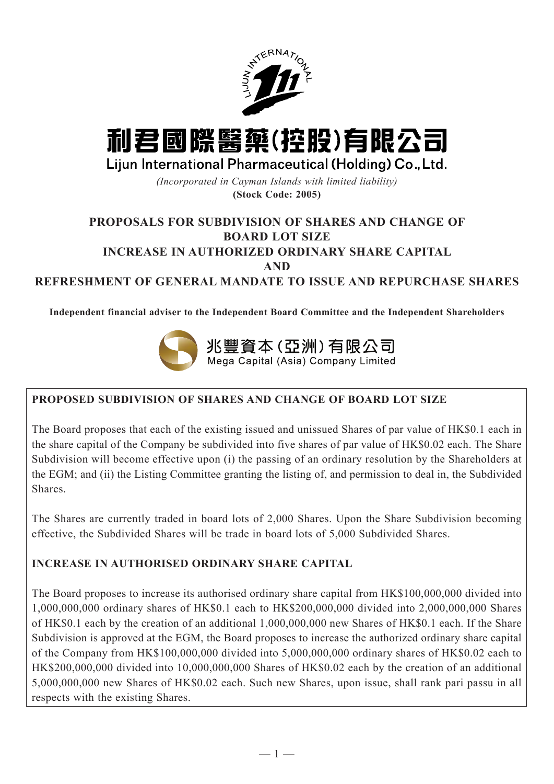

# 利君國際醫藥(控股)有限公司

Lijun International Pharmaceutical (Holding) Co., Ltd.

*(Incorporated in Cayman Islands with limited liability)* **(Stock Code: 2005)**

# **PROPOSALS FOR SUBDIVISION OF SHARES AND CHANGE OF BOARD LOT SIZE**

# **INCREASE IN AUTHORIZED ORDINARY SHARE CAPITAL**

**AND**

**REFRESHMENT OF GENERAL MANDATE TO ISSUE AND REPURCHASE SHARES**

**Independent financial adviser to the Independent Board Committee and the Independent Shareholders**



# **PROPOSED SUBDIVISION OF SHARES AND CHANGE OF BOARD LOT SIZE**

The Board proposes that each of the existing issued and unissued Shares of par value of HK\$0.1 each in the share capital of the Company be subdivided into five shares of par value of HK\$0.02 each. The Share Subdivision will become effective upon (i) the passing of an ordinary resolution by the Shareholders at the EGM; and (ii) the Listing Committee granting the listing of, and permission to deal in, the Subdivided Shares.

The Shares are currently traded in board lots of 2,000 Shares. Upon the Share Subdivision becoming effective, the Subdivided Shares will be trade in board lots of 5,000 Subdivided Shares.

# **INCREASE IN AUTHORISED ORDINARY SHARE CAPITAL**

The Board proposes to increase its authorised ordinary share capital from HK\$100,000,000 divided into 1,000,000,000 ordinary shares of HK\$0.1 each to HK\$200,000,000 divided into 2,000,000,000 Shares of HK\$0.1 each by the creation of an additional 1,000,000,000 new Shares of HK\$0.1 each. If the Share Subdivision is approved at the EGM, the Board proposes to increase the authorized ordinary share capital of the Company from HK\$100,000,000 divided into 5,000,000,000 ordinary shares of HK\$0.02 each to HK\$200,000,000 divided into 10,000,000,000 Shares of HK\$0.02 each by the creation of an additional 5,000,000,000 new Shares of HK\$0.02 each. Such new Shares, upon issue, shall rank pari passu in all respects with the existing Shares.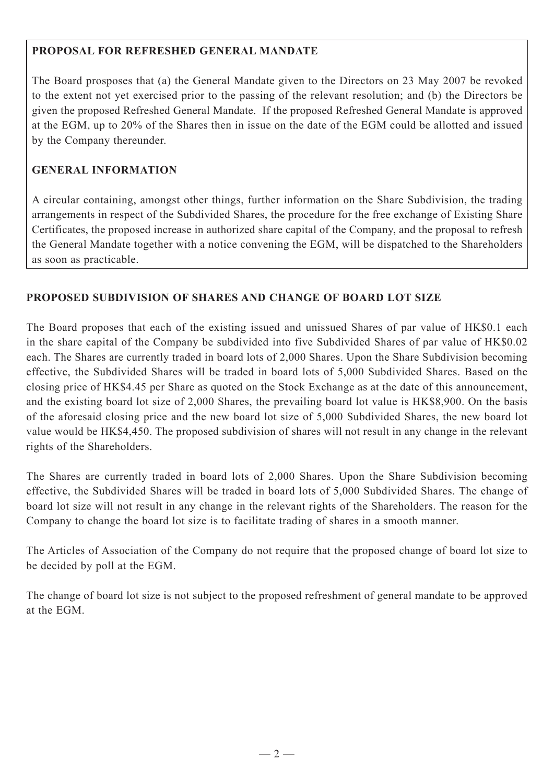## **PROPOSAL FOR REFRESHED GENERAL MANDATE**

The Board prosposes that (a) the General Mandate given to the Directors on 23 May 2007 be revoked to the extent not yet exercised prior to the passing of the relevant resolution; and (b) the Directors be given the proposed Refreshed General Mandate. If the proposed Refreshed General Mandate is approved at the EGM, up to 20% of the Shares then in issue on the date of the EGM could be allotted and issued by the Company thereunder.

## **GENERAL INFORMATION**

A circular containing, amongst other things, further information on the Share Subdivision, the trading arrangements in respect of the Subdivided Shares, the procedure for the free exchange of Existing Share Certificates, the proposed increase in authorized share capital of the Company, and the proposal to refresh the General Mandate together with a notice convening the EGM, will be dispatched to the Shareholders as soon as practicable.

## **PROPOSED SUBDIVISION OF SHARES AND CHANGE OF BOARD LOT SIZE**

The Board proposes that each of the existing issued and unissued Shares of par value of HK\$0.1 each in the share capital of the Company be subdivided into five Subdivided Shares of par value of HK\$0.02 each. The Shares are currently traded in board lots of 2,000 Shares. Upon the Share Subdivision becoming effective, the Subdivided Shares will be traded in board lots of 5,000 Subdivided Shares. Based on the closing price of HK\$4.45 per Share as quoted on the Stock Exchange as at the date of this announcement, and the existing board lot size of 2,000 Shares, the prevailing board lot value is HK\$8,900. On the basis of the aforesaid closing price and the new board lot size of 5,000 Subdivided Shares, the new board lot value would be HK\$4,450. The proposed subdivision of shares will not result in any change in the relevant rights of the Shareholders.

The Shares are currently traded in board lots of 2,000 Shares. Upon the Share Subdivision becoming effective, the Subdivided Shares will be traded in board lots of 5,000 Subdivided Shares. The change of board lot size will not result in any change in the relevant rights of the Shareholders. The reason for the Company to change the board lot size is to facilitate trading of shares in a smooth manner.

The Articles of Association of the Company do not require that the proposed change of board lot size to be decided by poll at the EGM.

The change of board lot size is not subject to the proposed refreshment of general mandate to be approved at the EGM.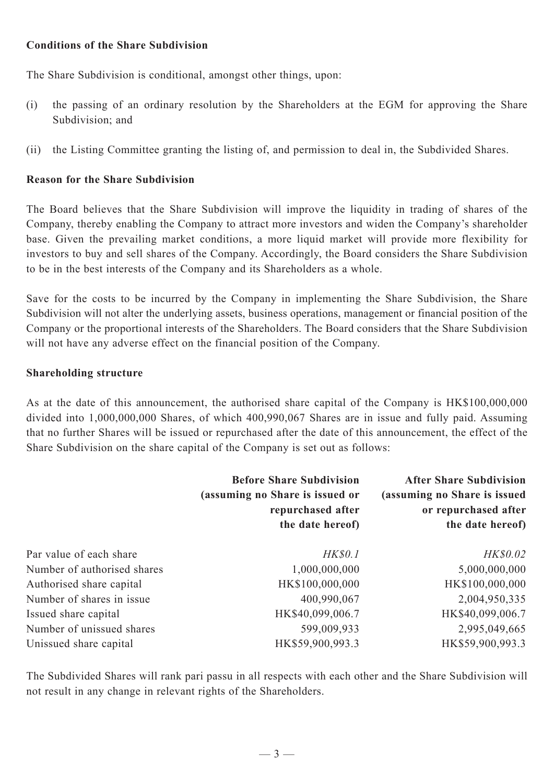#### **Conditions of the Share Subdivision**

The Share Subdivision is conditional, amongst other things, upon:

- (i) the passing of an ordinary resolution by the Shareholders at the EGM for approving the Share Subdivision; and
- (ii) the Listing Committee granting the listing of, and permission to deal in, the Subdivided Shares.

# **Reason for the Share Subdivision**

The Board believes that the Share Subdivision will improve the liquidity in trading of shares of the Company, thereby enabling the Company to attract more investors and widen the Company's shareholder base. Given the prevailing market conditions, a more liquid market will provide more flexibility for investors to buy and sell shares of the Company. Accordingly, the Board considers the Share Subdivision to be in the best interests of the Company and its Shareholders as a whole.

Save for the costs to be incurred by the Company in implementing the Share Subdivision, the Share Subdivision will not alter the underlying assets, business operations, management or financial position of the Company or the proportional interests of the Shareholders. The Board considers that the Share Subdivision will not have any adverse effect on the financial position of the Company.

#### **Shareholding structure**

As at the date of this announcement, the authorised share capital of the Company is HK\$100,000,000 divided into 1,000,000,000 Shares, of which 400,990,067 Shares are in issue and fully paid. Assuming that no further Shares will be issued or repurchased after the date of this announcement, the effect of the Share Subdivision on the share capital of the Company is set out as follows:

|                             | <b>Before Share Subdivision</b><br>(assuming no Share is issued or<br>repurchased after<br>the date hereof) | <b>After Share Subdivision</b><br>(assuming no Share is issued<br>or repurchased after<br>the date hereof) |
|-----------------------------|-------------------------------------------------------------------------------------------------------------|------------------------------------------------------------------------------------------------------------|
| Par value of each share     | <b>HK\$0.1</b>                                                                                              | HK\$0.02                                                                                                   |
| Number of authorised shares | 1,000,000,000                                                                                               | 5,000,000,000                                                                                              |
| Authorised share capital    | HK\$100,000,000                                                                                             | HK\$100,000,000                                                                                            |
| Number of shares in issue   | 400,990,067                                                                                                 | 2,004,950,335                                                                                              |
| Issued share capital        | HK\$40,099,006.7                                                                                            | HK\$40,099,006.7                                                                                           |
| Number of unissued shares   | 599,009,933                                                                                                 | 2,995,049,665                                                                                              |
| Unissued share capital      | HK\$59,900,993.3                                                                                            | HK\$59,900,993.3                                                                                           |

The Subdivided Shares will rank pari passu in all respects with each other and the Share Subdivision will not result in any change in relevant rights of the Shareholders.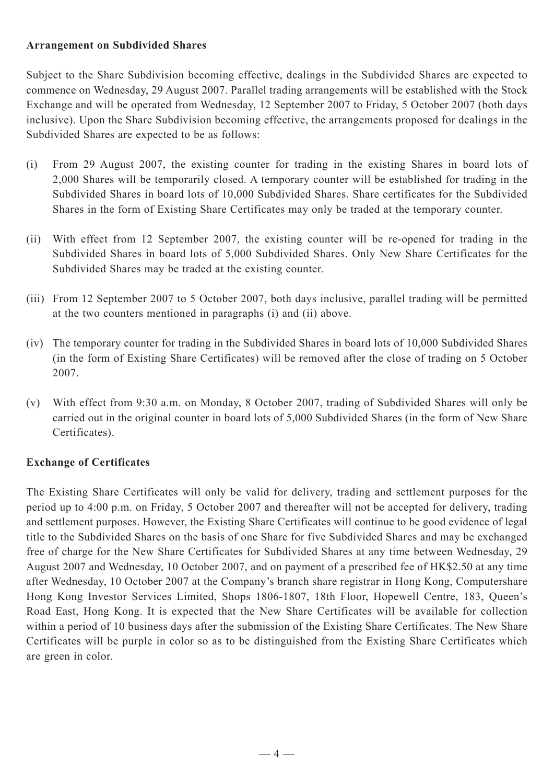#### **Arrangement on Subdivided Shares**

Subject to the Share Subdivision becoming effective, dealings in the Subdivided Shares are expected to commence on Wednesday, 29 August 2007. Parallel trading arrangements will be established with the Stock Exchange and will be operated from Wednesday, 12 September 2007 to Friday, 5 October 2007 (both days inclusive). Upon the Share Subdivision becoming effective, the arrangements proposed for dealings in the Subdivided Shares are expected to be as follows:

- (i) From 29 August 2007, the existing counter for trading in the existing Shares in board lots of 2,000 Shares will be temporarily closed. A temporary counter will be established for trading in the Subdivided Shares in board lots of 10,000 Subdivided Shares. Share certificates for the Subdivided Shares in the form of Existing Share Certificates may only be traded at the temporary counter.
- (ii) With effect from 12 September 2007, the existing counter will be re-opened for trading in the Subdivided Shares in board lots of 5,000 Subdivided Shares. Only New Share Certificates for the Subdivided Shares may be traded at the existing counter.
- (iii) From 12 September 2007 to 5 October 2007, both days inclusive, parallel trading will be permitted at the two counters mentioned in paragraphs (i) and (ii) above.
- (iv) The temporary counter for trading in the Subdivided Shares in board lots of 10,000 Subdivided Shares (in the form of Existing Share Certificates) will be removed after the close of trading on 5 October 2007.
- (v) With effect from 9:30 a.m. on Monday, 8 October 2007, trading of Subdivided Shares will only be carried out in the original counter in board lots of 5,000 Subdivided Shares (in the form of New Share Certificates).

## **Exchange of Certificates**

The Existing Share Certificates will only be valid for delivery, trading and settlement purposes for the period up to 4:00 p.m. on Friday, 5 October 2007 and thereafter will not be accepted for delivery, trading and settlement purposes. However, the Existing Share Certificates will continue to be good evidence of legal title to the Subdivided Shares on the basis of one Share for five Subdivided Shares and may be exchanged free of charge for the New Share Certificates for Subdivided Shares at any time between Wednesday, 29 August 2007 and Wednesday, 10 October 2007, and on payment of a prescribed fee of HK\$2.50 at any time after Wednesday, 10 October 2007 at the Company's branch share registrar in Hong Kong, Computershare Hong Kong Investor Services Limited, Shops 1806-1807, 18th Floor, Hopewell Centre, 183, Queen's Road East, Hong Kong. It is expected that the New Share Certificates will be available for collection within a period of 10 business days after the submission of the Existing Share Certificates. The New Share Certificates will be purple in color so as to be distinguished from the Existing Share Certificates which are green in color.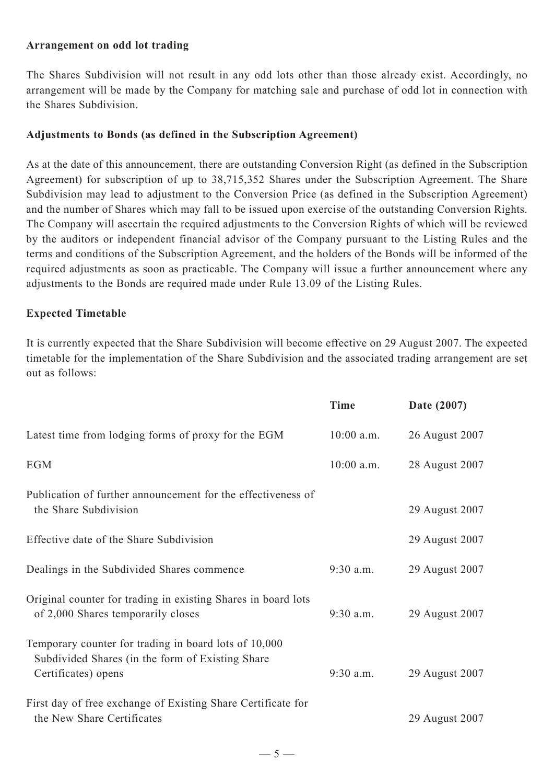#### **Arrangement on odd lot trading**

The Shares Subdivision will not result in any odd lots other than those already exist. Accordingly, no arrangement will be made by the Company for matching sale and purchase of odd lot in connection with the Shares Subdivision.

#### **Adjustments to Bonds (as defined in the Subscription Agreement)**

As at the date of this announcement, there are outstanding Conversion Right (as defined in the Subscription Agreement) for subscription of up to 38,715,352 Shares under the Subscription Agreement. The Share Subdivision may lead to adjustment to the Conversion Price (as defined in the Subscription Agreement) and the number of Shares which may fall to be issued upon exercise of the outstanding Conversion Rights. The Company will ascertain the required adjustments to the Conversion Rights of which will be reviewed by the auditors or independent financial advisor of the Company pursuant to the Listing Rules and the terms and conditions of the Subscription Agreement, and the holders of the Bonds will be informed of the required adjustments as soon as practicable. The Company will issue a further announcement where any adjustments to the Bonds are required made under Rule 13.09 of the Listing Rules.

#### **Expected Timetable**

It is currently expected that the Share Subdivision will become effective on 29 August 2007. The expected timetable for the implementation of the Share Subdivision and the associated trading arrangement are set out as follows:

|                                                                                                                                   | Time         | Date (2007)    |
|-----------------------------------------------------------------------------------------------------------------------------------|--------------|----------------|
| Latest time from lodging forms of proxy for the EGM                                                                               | $10:00$ a.m. | 26 August 2007 |
| <b>EGM</b>                                                                                                                        | $10:00$ a.m. | 28 August 2007 |
| Publication of further announcement for the effectiveness of<br>the Share Subdivision                                             |              | 29 August 2007 |
| Effective date of the Share Subdivision                                                                                           |              | 29 August 2007 |
| Dealings in the Subdivided Shares commence                                                                                        | $9:30$ a.m.  | 29 August 2007 |
| Original counter for trading in existing Shares in board lots<br>of 2,000 Shares temporarily closes                               | $9:30$ a.m.  | 29 August 2007 |
| Temporary counter for trading in board lots of 10,000<br>Subdivided Shares (in the form of Existing Share)<br>Certificates) opens | $9:30$ a.m.  | 29 August 2007 |
| First day of free exchange of Existing Share Certificate for<br>the New Share Certificates                                        |              | 29 August 2007 |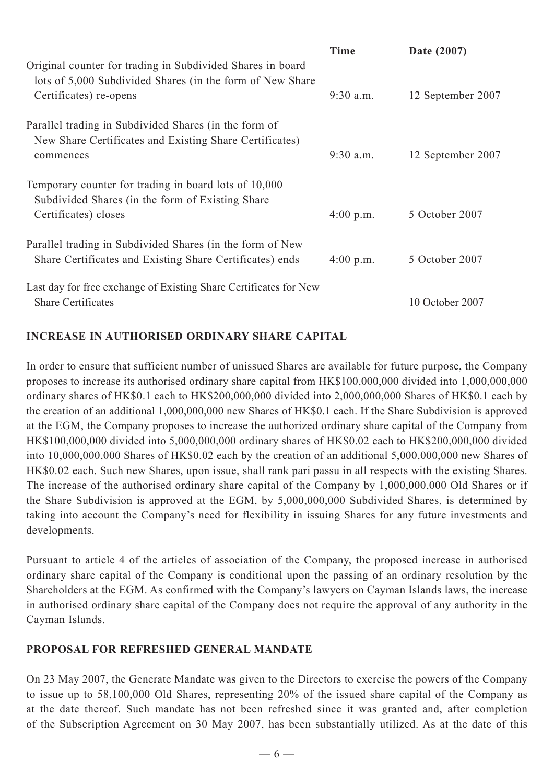|                                                                                                                                                   | Time                | Date (2007)       |
|---------------------------------------------------------------------------------------------------------------------------------------------------|---------------------|-------------------|
| Original counter for trading in Subdivided Shares in board<br>lots of 5,000 Subdivided Shares (in the form of New Share<br>Certificates) re-opens | $9:30$ a.m.         | 12 September 2007 |
| Parallel trading in Subdivided Shares (in the form of<br>New Share Certificates and Existing Share Certificates)<br>commences                     | $9:30$ a.m.         | 12 September 2007 |
| Temporary counter for trading in board lots of 10,000<br>Subdivided Shares (in the form of Existing Share)<br>Certificates) closes                | $4:00 \text{ p.m.}$ | 5 October 2007    |
| Parallel trading in Subdivided Shares (in the form of New<br>Share Certificates and Existing Share Certificates) ends                             | 4:00 p.m.           | 5 October 2007    |
| Last day for free exchange of Existing Share Certificates for New<br><b>Share Certificates</b>                                                    |                     | 10 October 2007   |

## **INCREASE IN AUTHORISED ORDINARY SHARE CAPITAL**

In order to ensure that sufficient number of unissued Shares are available for future purpose, the Company proposes to increase its authorised ordinary share capital from HK\$100,000,000 divided into 1,000,000,000 ordinary shares of HK\$0.1 each to HK\$200,000,000 divided into 2,000,000,000 Shares of HK\$0.1 each by the creation of an additional 1,000,000,000 new Shares of HK\$0.1 each. If the Share Subdivision is approved at the EGM, the Company proposes to increase the authorized ordinary share capital of the Company from HK\$100,000,000 divided into 5,000,000,000 ordinary shares of HK\$0.02 each to HK\$200,000,000 divided into 10,000,000,000 Shares of HK\$0.02 each by the creation of an additional 5,000,000,000 new Shares of HK\$0.02 each. Such new Shares, upon issue, shall rank pari passu in all respects with the existing Shares. The increase of the authorised ordinary share capital of the Company by 1,000,000,000 Old Shares or if the Share Subdivision is approved at the EGM, by 5,000,000,000 Subdivided Shares, is determined by taking into account the Company's need for flexibility in issuing Shares for any future investments and developments.

Pursuant to article 4 of the articles of association of the Company, the proposed increase in authorised ordinary share capital of the Company is conditional upon the passing of an ordinary resolution by the Shareholders at the EGM. As confirmed with the Company's lawyers on Cayman Islands laws, the increase in authorised ordinary share capital of the Company does not require the approval of any authority in the Cayman Islands.

## **PROPOSAL FOR REFRESHED GENERAL MANDATE**

On 23 May 2007, the Generate Mandate was given to the Directors to exercise the powers of the Company to issue up to 58,100,000 Old Shares, representing 20% of the issued share capital of the Company as at the date thereof. Such mandate has not been refreshed since it was granted and, after completion of the Subscription Agreement on 30 May 2007, has been substantially utilized. As at the date of this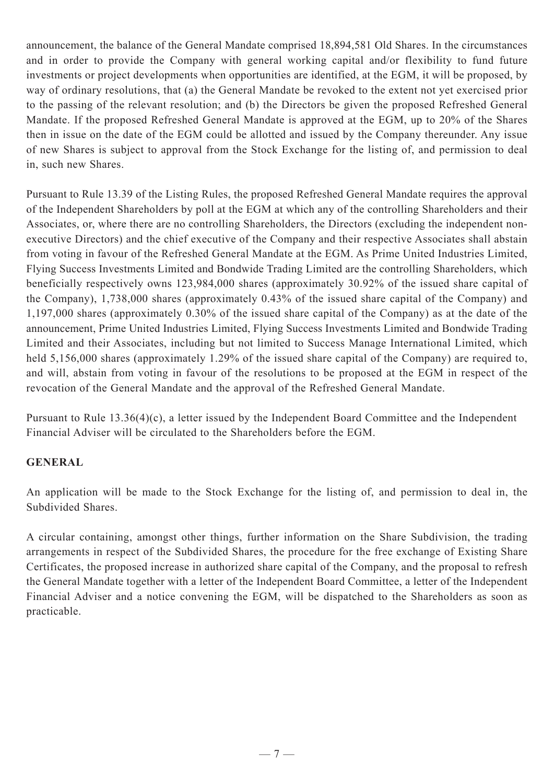announcement, the balance of the General Mandate comprised 18,894,581 Old Shares. In the circumstances and in order to provide the Company with general working capital and/or flexibility to fund future investments or project developments when opportunities are identified, at the EGM, it will be proposed, by way of ordinary resolutions, that (a) the General Mandate be revoked to the extent not yet exercised prior to the passing of the relevant resolution; and (b) the Directors be given the proposed Refreshed General Mandate. If the proposed Refreshed General Mandate is approved at the EGM, up to 20% of the Shares then in issue on the date of the EGM could be allotted and issued by the Company thereunder. Any issue of new Shares is subject to approval from the Stock Exchange for the listing of, and permission to deal in, such new Shares.

Pursuant to Rule 13.39 of the Listing Rules, the proposed Refreshed General Mandate requires the approval of the Independent Shareholders by poll at the EGM at which any of the controlling Shareholders and their Associates, or, where there are no controlling Shareholders, the Directors (excluding the independent nonexecutive Directors) and the chief executive of the Company and their respective Associates shall abstain from voting in favour of the Refreshed General Mandate at the EGM. As Prime United Industries Limited, Flying Success Investments Limited and Bondwide Trading Limited are the controlling Shareholders, which beneficially respectively owns 123,984,000 shares (approximately 30.92% of the issued share capital of the Company), 1,738,000 shares (approximately 0.43% of the issued share capital of the Company) and 1,197,000 shares (approximately 0.30% of the issued share capital of the Company) as at the date of the announcement, Prime United Industries Limited, Flying Success Investments Limited and Bondwide Trading Limited and their Associates, including but not limited to Success Manage International Limited, which held 5,156,000 shares (approximately 1.29% of the issued share capital of the Company) are required to, and will, abstain from voting in favour of the resolutions to be proposed at the EGM in respect of the revocation of the General Mandate and the approval of the Refreshed General Mandate.

Pursuant to Rule 13.36(4)(c), a letter issued by the Independent Board Committee and the Independent Financial Adviser will be circulated to the Shareholders before the EGM.

## **GENERAL**

An application will be made to the Stock Exchange for the listing of, and permission to deal in, the Subdivided Shares.

A circular containing, amongst other things, further information on the Share Subdivision, the trading arrangements in respect of the Subdivided Shares, the procedure for the free exchange of Existing Share Certificates, the proposed increase in authorized share capital of the Company, and the proposal to refresh the General Mandate together with a letter of the Independent Board Committee, a letter of the Independent Financial Adviser and a notice convening the EGM, will be dispatched to the Shareholders as soon as practicable.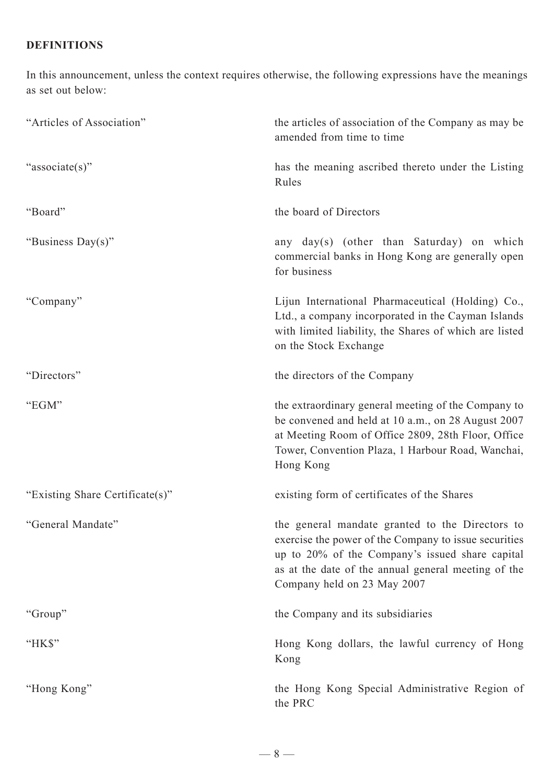# **DEFINITIONS**

In this announcement, unless the context requires otherwise, the following expressions have the meanings as set out below:

| "Articles of Association"       | the articles of association of the Company as may be<br>amended from time to time                                                                                                                                                                 |
|---------------------------------|---------------------------------------------------------------------------------------------------------------------------------------------------------------------------------------------------------------------------------------------------|
| "associate(s)"                  | has the meaning ascribed thereto under the Listing<br>Rules                                                                                                                                                                                       |
| "Board"                         | the board of Directors                                                                                                                                                                                                                            |
| "Business Day(s)"               | any day(s) (other than Saturday) on which<br>commercial banks in Hong Kong are generally open<br>for business                                                                                                                                     |
| "Company"                       | Lijun International Pharmaceutical (Holding) Co.,<br>Ltd., a company incorporated in the Cayman Islands<br>with limited liability, the Shares of which are listed<br>on the Stock Exchange                                                        |
| "Directors"                     | the directors of the Company                                                                                                                                                                                                                      |
| "EGM"                           | the extraordinary general meeting of the Company to<br>be convened and held at 10 a.m., on 28 August 2007<br>at Meeting Room of Office 2809, 28th Floor, Office<br>Tower, Convention Plaza, 1 Harbour Road, Wanchai,<br>Hong Kong                 |
| "Existing Share Certificate(s)" | existing form of certificates of the Shares                                                                                                                                                                                                       |
| "General Mandate"               | the general mandate granted to the Directors to<br>exercise the power of the Company to issue securities<br>up to 20% of the Company's issued share capital<br>as at the date of the annual general meeting of the<br>Company held on 23 May 2007 |
| "Group"                         | the Company and its subsidiaries                                                                                                                                                                                                                  |
| "HK\$"                          | Hong Kong dollars, the lawful currency of Hong<br>Kong                                                                                                                                                                                            |
| "Hong Kong"                     | the Hong Kong Special Administrative Region of<br>the PRC                                                                                                                                                                                         |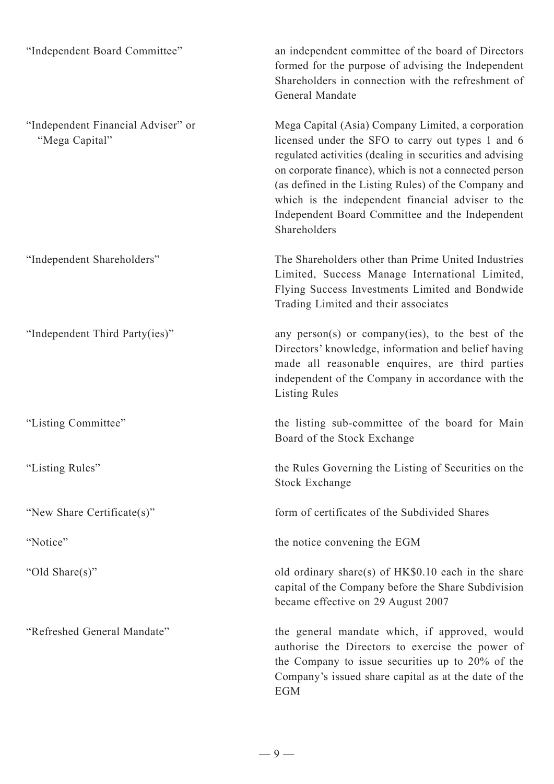| "Independent Board Committee"                        | an independent committee of the board of Directors<br>formed for the purpose of advising the Independent<br>Shareholders in connection with the refreshment of<br>General Mandate                                                                                                                                                                                                                             |
|------------------------------------------------------|---------------------------------------------------------------------------------------------------------------------------------------------------------------------------------------------------------------------------------------------------------------------------------------------------------------------------------------------------------------------------------------------------------------|
| "Independent Financial Adviser" or<br>"Mega Capital" | Mega Capital (Asia) Company Limited, a corporation<br>licensed under the SFO to carry out types 1 and 6<br>regulated activities (dealing in securities and advising<br>on corporate finance), which is not a connected person<br>(as defined in the Listing Rules) of the Company and<br>which is the independent financial adviser to the<br>Independent Board Committee and the Independent<br>Shareholders |
| "Independent Shareholders"                           | The Shareholders other than Prime United Industries<br>Limited, Success Manage International Limited,<br>Flying Success Investments Limited and Bondwide<br>Trading Limited and their associates                                                                                                                                                                                                              |
| "Independent Third Party(ies)"                       | any person(s) or company(ies), to the best of the<br>Directors' knowledge, information and belief having<br>made all reasonable enquires, are third parties<br>independent of the Company in accordance with the<br><b>Listing Rules</b>                                                                                                                                                                      |
| "Listing Committee"                                  | the listing sub-committee of the board for Main<br>Board of the Stock Exchange                                                                                                                                                                                                                                                                                                                                |
| "Listing Rules"                                      | the Rules Governing the Listing of Securities on the<br><b>Stock Exchange</b>                                                                                                                                                                                                                                                                                                                                 |
| "New Share Certificate(s)"                           | form of certificates of the Subdivided Shares                                                                                                                                                                                                                                                                                                                                                                 |
| "Notice"                                             | the notice convening the EGM                                                                                                                                                                                                                                                                                                                                                                                  |
| "Old Share(s)"                                       | old ordinary share(s) of HK\$0.10 each in the share<br>capital of the Company before the Share Subdivision<br>became effective on 29 August 2007                                                                                                                                                                                                                                                              |
| "Refreshed General Mandate"                          | the general mandate which, if approved, would<br>authorise the Directors to exercise the power of<br>the Company to issue securities up to 20% of the<br>Company's issued share capital as at the date of the<br><b>EGM</b>                                                                                                                                                                                   |